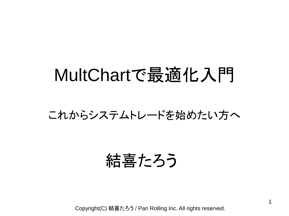### MultChartで最適化入門

#### これからシステムトレードを始めたい方へ

### 結喜たろう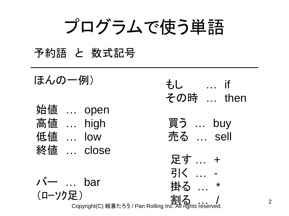プログラムで使う単語

#### 予約語 と 数式記号

| ほんの一例)             |  |                                                                  | もし  if        |
|--------------------|--|------------------------------------------------------------------|---------------|
|                    |  |                                                                  | その時  then     |
| 始値  open           |  |                                                                  |               |
| 高値  high           |  |                                                                  | 買う  buy       |
| 低值  low            |  |                                                                  | 売る  sell      |
|                    |  | 終値  close                                                        |               |
|                    |  |                                                                  | 足す  +         |
|                    |  |                                                                  | 引く  -         |
| $\lambda \sim$ bar |  |                                                                  | 掛る<br>$\star$ |
| (ローソク足)            |  | ーノ<br>Copyright(C) 結喜たろう / Pan Rolling Inc. All rights reserved. |               |
|                    |  |                                                                  |               |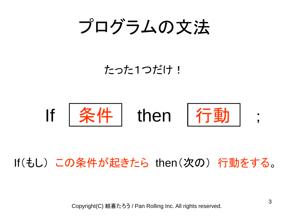プログラムの文法

#### たった1つだけ!



#### If(もし) この条件が起きたら then(次の) 行動をする。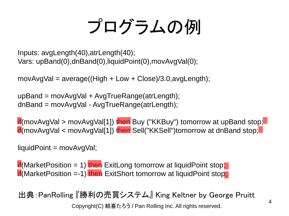# プログラムの例

Inputs: avgLength(40),atrLength(40); Vars: upBand(0),dnBand(0),liquidPoint(0),movAvgVal(0);

movAvgVal =  $average((High + Low + Close)/3.0, avgLength);$ 

upBand = movAvgVal + AvgTrueRange(atrLength); dnBand = movAvgVal - AvgTrueRange(atrLength);

if(movAvgVal > movAvgVal[1]) then Buy ("KKBuy") tomorrow at upBand stop; if(movAvgVal < movAvgVal[1]) then Sell("KKSell")tomorrow at dnBand stop;

 $liquidPoint = movAvgVal;$ 

if(MarketPosition = 1) then ExitLong tomorrow at liquidPoint stop; if (Market Position =-1) then Exit Short tomorrow at liquid Point stop;

出典:PanRolling 『勝利の売買システム』 King Keltner by George Pruitt Copyright(C) 結喜たろう / Pan Rolling Inc. All rights reserved.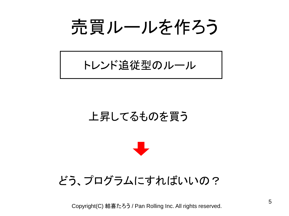売買ルールを作ろう

トレンド追従型のルール

#### 上昇してるものを買う



#### どう、プログラムにすればいいの?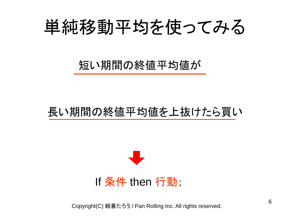## 単純移動平均を使ってみる

短い期間の終値平均値が

#### 長い期間の終値平均値を上抜けたら買い

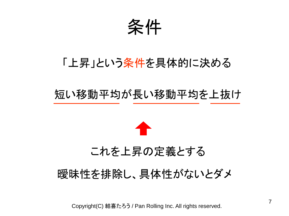条件

#### 「上昇」という条件を具体的に決める

#### 短い移動平均が長い移動平均を上抜け



#### これを上昇の定義とする

#### 曖昧性を排除し、具体性がないとダメ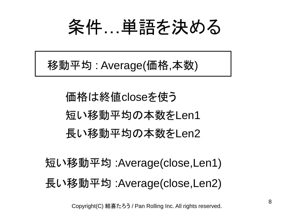条件…単語を決める

移動平均 : Average(価格,本数)

価格は終値closeを使う 短い移動平均の本数をLen1 長い移動平均の本数をLen2

短い移動平均 :Average(close,Len1) 長い移動平均 :Average(close,Len2)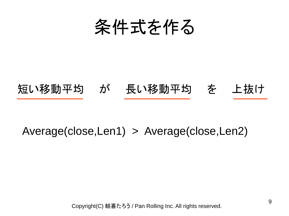条件式を作る

#### 短い移動平均 が 長い移動平均 を 上抜け

#### Average(close,Len1) > Average(close,Len2)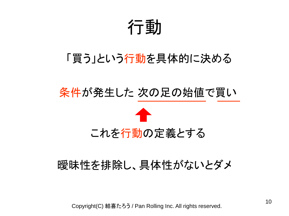行動

#### 「買う」という行動を具体的に決める

#### 条件が発生した 次の足の始値で買い



#### 曖昧性を排除し、具体性がないとダメ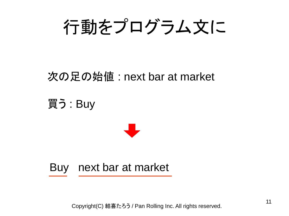

#### 次の足の始値 : next bar at market

買う : Buy



Buy next bar at market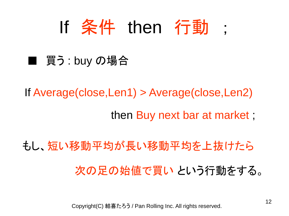If 条件 then 行動 ;

#### ■ 買う : buy の場合

If Average(close,Len1) > Average(close,Len2) then Buy next bar at market ;

もし、短い移動平均が長い移動平均を上抜けたら 次の足の始値で買い という行動をする。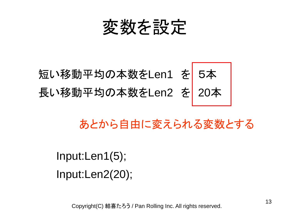

## 短い移動平均の本数をLen1 を 5本 長い移動平均の本数をLen2 を 20本

あとから自由に変えられる変数とする

Input:Len1(5); Input:Len2(20);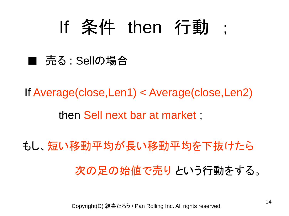## If 条件 then 行動 ;

#### ■ 売る : Sellの場合

If Average(close,Len1) < Average(close,Len2) then Sell next bar at market ;

もし、短い移動平均が長い移動平均を下抜けたら 次の足の始値で売り という行動をする。